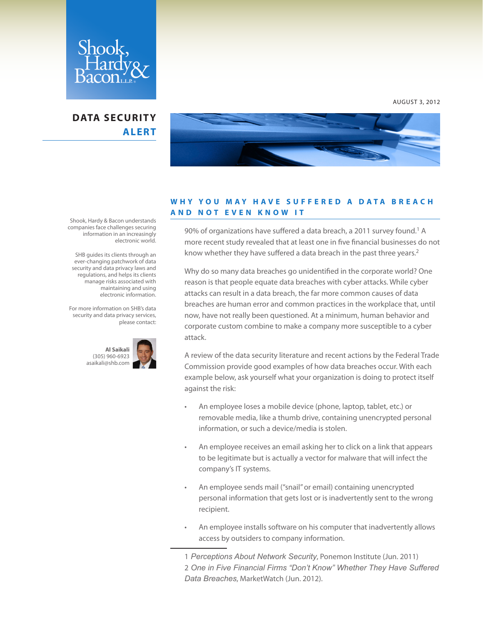

## **DATA SECURITY ALERT**



## **W H Y Y O U M A Y H A V E S U F F E R E D A D A T A B R E A C H AND NOT EVEN KNOW IT**

90% of organizations have suffered a data breach, a 2011 survey found.<sup>1</sup> A more recent study revealed that at least one in five financial businesses do not know whether they have suffered a data breach in the past three years.<sup>2</sup>

Why do so many data breaches go unidentified in the corporate world? One reason is that people equate data breaches with cyber attacks. While cyber attacks can result in a data breach, the far more common causes of data breaches are human error and common practices in the workplace that, until now, have not really been questioned. At a minimum, human behavior and corporate custom combine to make a company more susceptible to a cyber attack.

A review of the data security literature and recent actions by the Federal Trade Commission provide good examples of how data breaches occur. With each example below, ask yourself what your organization is doing to protect itself against the risk:

- An employee loses a mobile device (phone, laptop, tablet, etc.) or removable media, like a thumb drive, containing unencrypted personal information, or such a device/media is stolen.
- An employee receives an email asking her to click on a link that appears to be legitimate but is actually a vector for malware that will infect the company's IT systems.
- An employee sends mail ("snail" or email) containing unencrypted personal information that gets lost or is inadvertently sent to the wrong recipient.
- An employee installs software on his computer that inadvertently allows access by outsiders to company information.

Shook, Hardy & Bacon understands companies face challenges securing information in an increasingly electronic world.

 SHB guides its clients through an ever-changing patchwork of data security and data privacy laws and regulations, and helps its clients manage risks associated with maintaining and using electronic information.

For more information on SHB's data security and data privacy services, please contact:



AUGUST 3, 2012

<sup>1</sup> *Perceptions About Network Security*, Ponemon Institute (Jun. 2011) 2 *One in Five Financial Firms "Don't Know" Whether They Have Suffered Data Breaches*, MarketWatch (Jun. 2012).